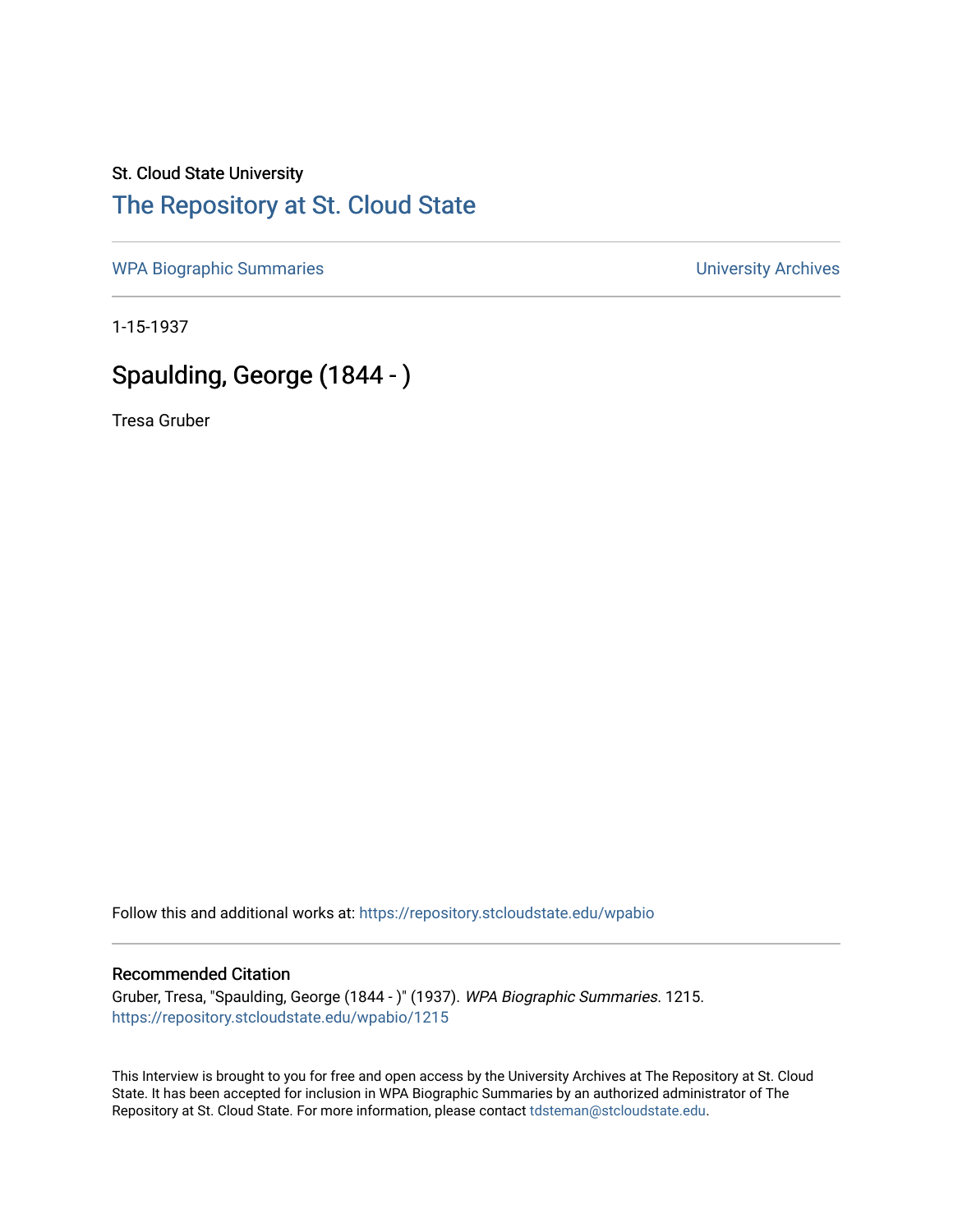## St. Cloud State University [The Repository at St. Cloud State](https://repository.stcloudstate.edu/)

[WPA Biographic Summaries](https://repository.stcloudstate.edu/wpabio) **WPA Biographic Summaries University Archives** 

1-15-1937

# Spaulding, George (1844 - )

Tresa Gruber

Follow this and additional works at: [https://repository.stcloudstate.edu/wpabio](https://repository.stcloudstate.edu/wpabio?utm_source=repository.stcloudstate.edu%2Fwpabio%2F1215&utm_medium=PDF&utm_campaign=PDFCoverPages) 

### Recommended Citation

Gruber, Tresa, "Spaulding, George (1844 - )" (1937). WPA Biographic Summaries. 1215. [https://repository.stcloudstate.edu/wpabio/1215](https://repository.stcloudstate.edu/wpabio/1215?utm_source=repository.stcloudstate.edu%2Fwpabio%2F1215&utm_medium=PDF&utm_campaign=PDFCoverPages) 

This Interview is brought to you for free and open access by the University Archives at The Repository at St. Cloud State. It has been accepted for inclusion in WPA Biographic Summaries by an authorized administrator of The Repository at St. Cloud State. For more information, please contact [tdsteman@stcloudstate.edu.](mailto:tdsteman@stcloudstate.edu)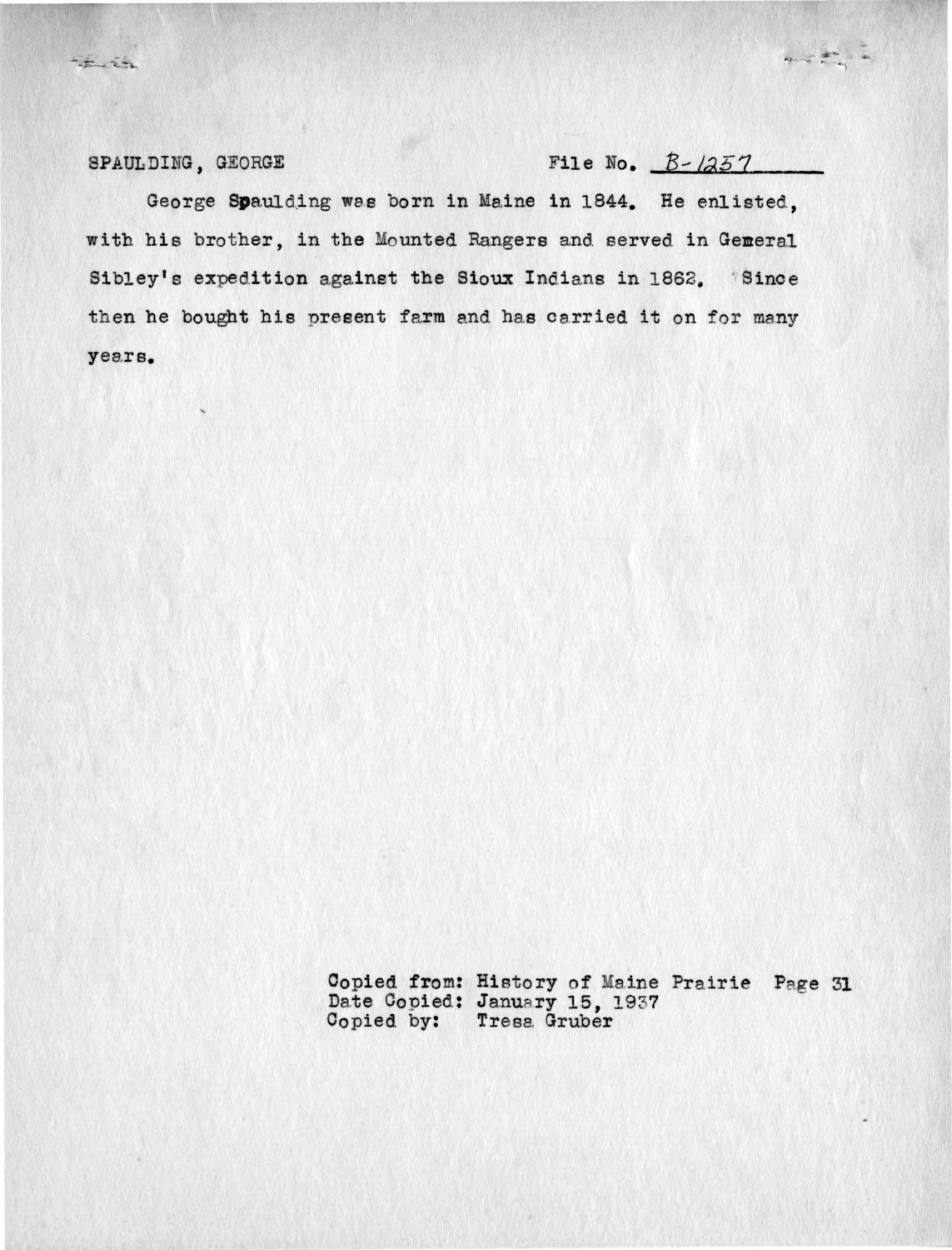## SPAULDING, GEORGE File No.  $B - l257$

 $2.777728$ 

George Spaulding was born in Maine in 1844. He enlisted. with his brother, in the Mounted Rangers and. served in Gemeral Sibley's expedition against the Sioux Indians in 1862. Since then he bought his present farm and has carried it on for many years.

> Copied from: History of Maine Prairie Page 31 Date Copied: January 15, 1937 Copied by: Tresa Gruber